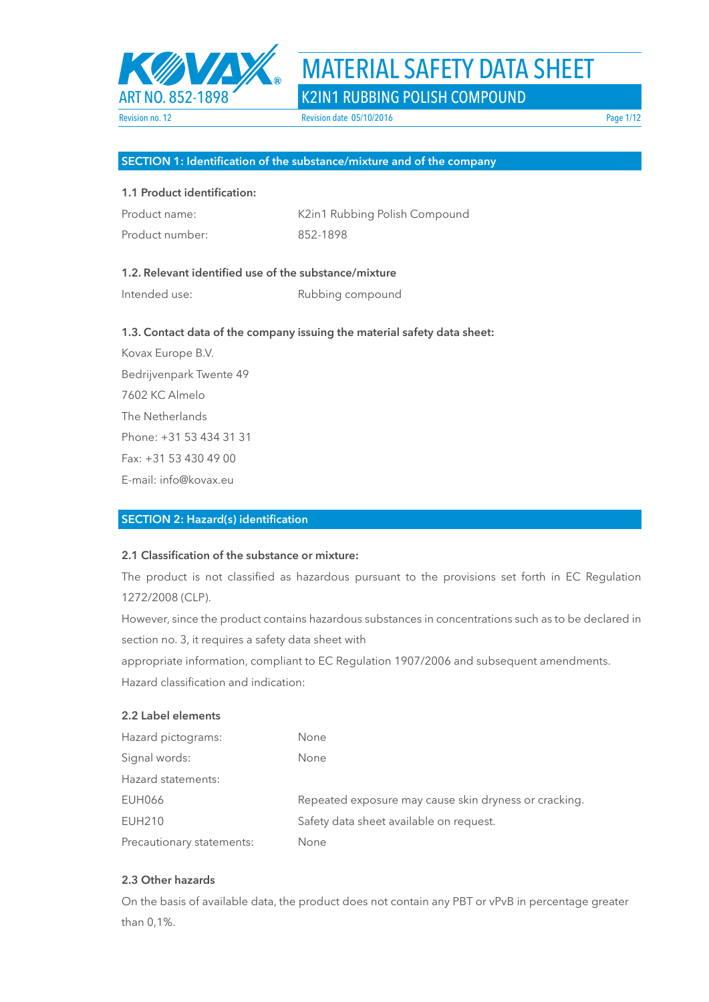

# MATERIAL SAFETY DATA SHEET

|  | K2IN1 RUBBING POLISH COMPOUND |  |
|--|-------------------------------|--|
|  |                               |  |

### **SECTION 1: Identification of the substance/mixture and of the company**

### **1.1 Product identification:**

| Product name:   | K2in1 Rub |
|-----------------|-----------|
| Product number: | 852-1898  |

K2in1 Rubbing Polish Compound

### **1.2. Relevant identified use of the substance/mixture**

Intended use: Rubbing compound

### **1.3. Contact data of the company issuing the material safety data sheet:**

Kovax Europe B.V. Bedrijvenpark Twente 49 7602 KC Almelo The Netherlands Phone: +31 53 434 31 31 Fax: +31 53 430 49 00 E-mail: info@kovax.eu

### **SECTION 2: Hazard(s) identification**

### **2.1 Classification of the substance or mixture:**

The product is not classified as hazardous pursuant to the provisions set forth in EC Regulation 1272/2008 (CLP).

However, since the product contains hazardous substances in concentrations such as to be declared in section no. 3, it requires a safety data sheet with

appropriate information, compliant to EC Regulation 1907/2006 and subsequent amendments.

Hazard classification and indication:

### **2.2 Label elements**

| Hazard pictograms:        | <b>None</b>                                           |
|---------------------------|-------------------------------------------------------|
| Signal words:             | <b>None</b>                                           |
| Hazard statements:        |                                                       |
| <b>EUH066</b>             | Repeated exposure may cause skin dryness or cracking. |
| <b>EUH210</b>             | Safety data sheet available on request.               |
| Precautionary statements: | None                                                  |

### **2.3 Other hazards**

On the basis of available data, the product does not contain any PBT or vPvB in percentage greater than 0,1%.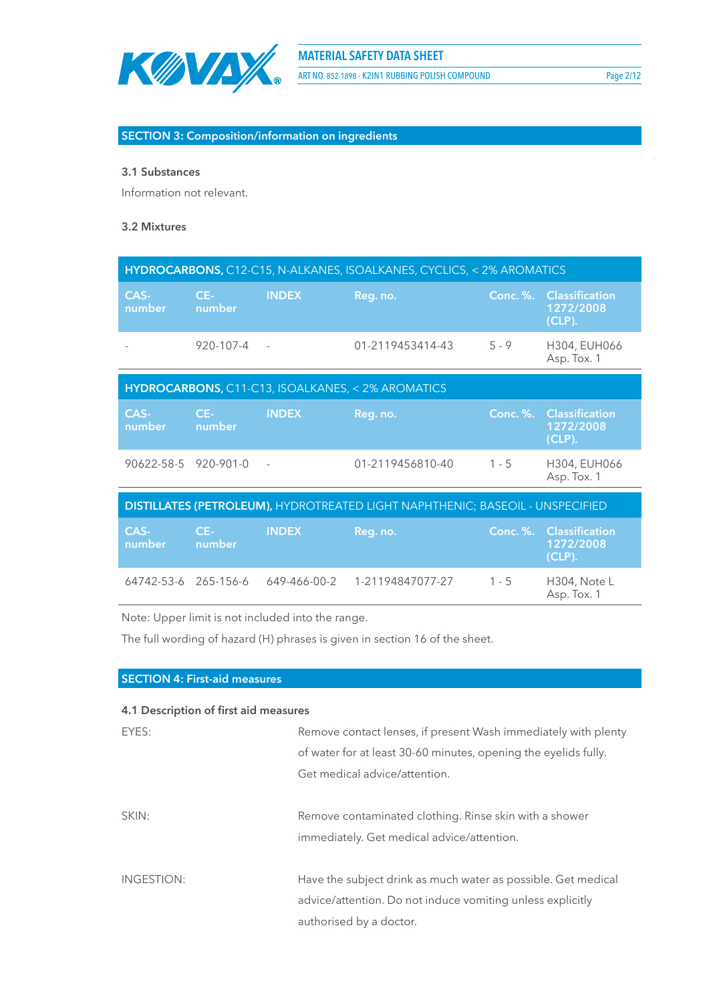

ART NO. 852-1898 - K2IN1 RUBBING POLISH COMPOUND Page 2/12

### **SECTION 3: Composition/information on ingredients**

### **3.1 Substances**

Information not relevant.

### **3.2 Mixtures**

| HYDROCARBONS, C12-C15, N-ALKANES, ISOALKANES, CYCLICS, < 2% AROMATICS                |                 |               |                                                   |                 |                                                   |
|--------------------------------------------------------------------------------------|-----------------|---------------|---------------------------------------------------|-----------------|---------------------------------------------------|
| CAS-<br>number                                                                       | $CE-$<br>number | <b>INDEX</b>  | Reg. no.                                          | <b>Conc. %.</b> | <b>Classification</b><br>1272/2008<br>$(CLP)$ .   |
|                                                                                      | 920-107-4       |               | 01-2119453414-43                                  | $5 - 9$         | H304, EUH066<br>Asp. Tox. 1                       |
|                                                                                      |                 |               | HYDROCARBONS, C11-C13, ISOALKANES, < 2% AROMATICS |                 |                                                   |
| CAS-<br>number                                                                       | $CE-$<br>number | <b>INDEX</b>  | Reg. no.                                          |                 | Conc. %. Classification<br>1272/2008<br>$(CLP)$ . |
| 90622-58-5 920-901-0                                                                 |                 | $\frac{1}{2}$ | 01-2119456810-40                                  | $1 - 5$         | H304, EUH066<br>Asp. Tox. 1                       |
| <b>DISTILLATES (PETROLEUM), HYDROTREATED LIGHT NAPHTHENIC; BASEOIL - UNSPECIFIED</b> |                 |               |                                                   |                 |                                                   |
| CAS-<br>number                                                                       | $CE-$<br>number | <b>INDEX</b>  | Reg. no.                                          | <b>Conc. %.</b> | <b>Classification</b><br>1272/2008<br>$(CLP)$ .   |
| 64742-53-6 265-156-6                                                                 |                 | 649-466-00-2  | 1-21194847077-27                                  | $1 - 5$         | H304, Note L<br>Asp. Tox. 1                       |

Note: Upper limit is not included into the range.

The full wording of hazard (H) phrases is given in section 16 of the sheet.

| <b>SECTION 4: First-aid measures</b>  |                                                                 |
|---------------------------------------|-----------------------------------------------------------------|
| 4.1 Description of first aid measures |                                                                 |
|                                       |                                                                 |
| EYES:                                 | Remove contact lenses, if present Wash immediately with plenty  |
|                                       | of water for at least 30-60 minutes, opening the eyelids fully. |
|                                       | Get medical advice/attention.                                   |
| SKIN:                                 | Remove contaminated clothing. Rinse skin with a shower          |
|                                       |                                                                 |
|                                       | immediately. Get medical advice/attention.                      |
|                                       |                                                                 |
| INGESTION:                            | Have the subject drink as much water as possible. Get medical   |
|                                       | advice/attention. Do not induce vomiting unless explicitly      |
|                                       | authorised by a doctor.                                         |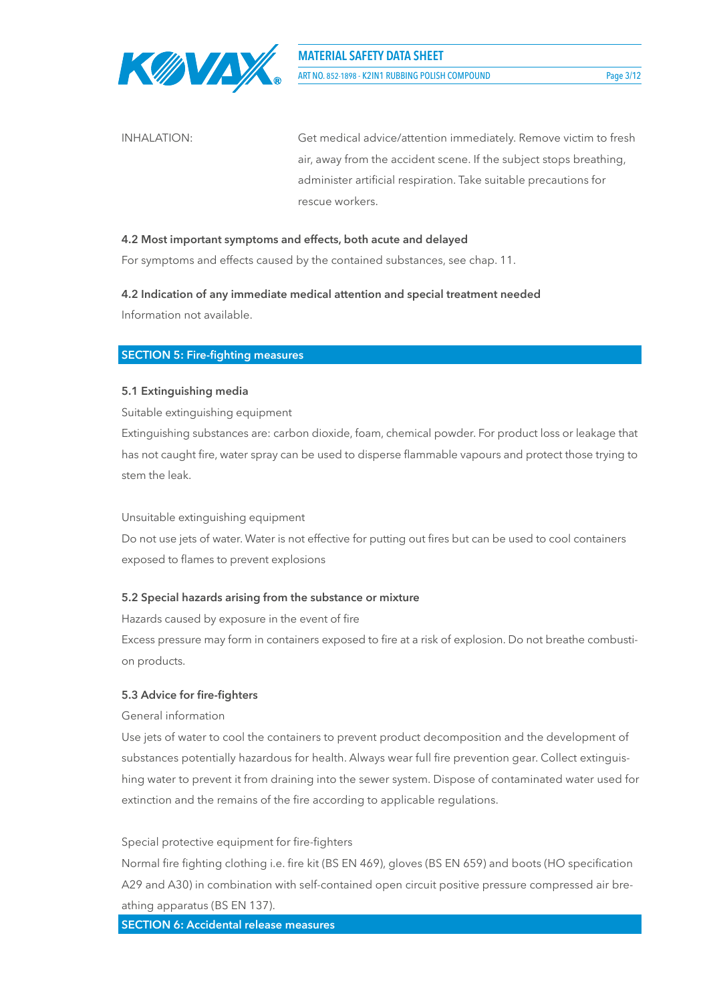

INHALATION: Get medical advice/attention immediately. Remove victim to fresh air, away from the accident scene. If the subject stops breathing, administer artificial respiration. Take suitable precautions for rescue workers.

### **4.2 Most important symptoms and effects, both acute and delayed**

For symptoms and effects caused by the contained substances, see chap. 11.

## **4.2 Indication of any immediate medical attention and special treatment needed**

Information not available.

### **SECTION 5: Fire-fighting measures**

### **5.1 Extinguishing media**

Suitable extinguishing equipment

Extinguishing substances are: carbon dioxide, foam, chemical powder. For product loss or leakage that has not caught fire, water spray can be used to disperse flammable vapours and protect those trying to stem the leak.

### Unsuitable extinguishing equipment

Do not use jets of water. Water is not effective for putting out fires but can be used to cool containers exposed to flames to prevent explosions

### **5.2 Special hazards arising from the substance or mixture**

Hazards caused by exposure in the event of fire

Excess pressure may form in containers exposed to fire at a risk of explosion. Do not breathe combustion products.

### **5.3 Advice for fire-fighters**

### General information

Use jets of water to cool the containers to prevent product decomposition and the development of substances potentially hazardous for health. Always wear full fire prevention gear. Collect extinguishing water to prevent it from draining into the sewer system. Dispose of contaminated water used for extinction and the remains of the fire according to applicable regulations.

### Special protective equipment for fire-fighters

Normal fire fighting clothing i.e. fire kit (BS EN 469), gloves (BS EN 659) and boots (HO specification A29 and A30) in combination with self-contained open circuit positive pressure compressed air breathing apparatus (BS EN 137).

**SECTION 6: Accidental release measures**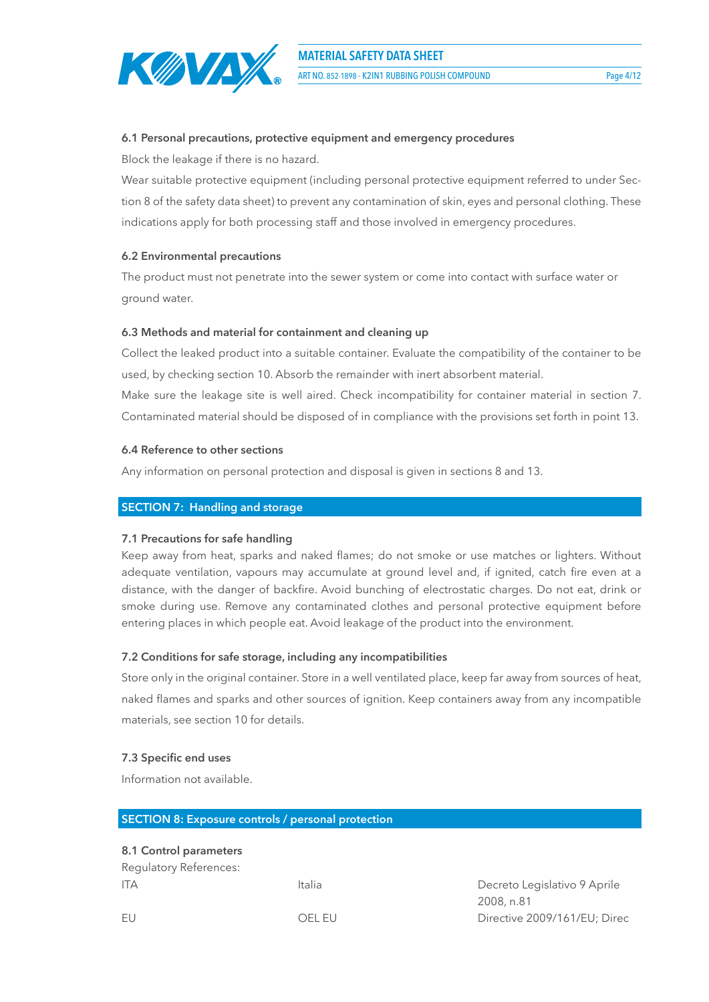

### **6.1 Personal precautions, protective equipment and emergency procedures**

Block the leakage if there is no hazard.

Wear suitable protective equipment (including personal protective equipment referred to under Section 8 of the safety data sheet) to prevent any contamination of skin, eyes and personal clothing. These indications apply for both processing staff and those involved in emergency procedures.

### **6.2 Environmental precautions**

The product must not penetrate into the sewer system or come into contact with surface water or ground water.

### **6.3 Methods and material for containment and cleaning up**

Collect the leaked product into a suitable container. Evaluate the compatibility of the container to be used, by checking section 10. Absorb the remainder with inert absorbent material.

Make sure the leakage site is well aired. Check incompatibility for container material in section 7. Contaminated material should be disposed of in compliance with the provisions set forth in point 13.

### **6.4 Reference to other sections**

Any information on personal protection and disposal is given in sections 8 and 13.

### **SECTION 7: Handling and storage**

### **7.1 Precautions for safe handling**

Keep away from heat, sparks and naked flames; do not smoke or use matches or lighters. Without adequate ventilation, vapours may accumulate at ground level and, if ignited, catch fire even at a distance, with the danger of backfire. Avoid bunching of electrostatic charges. Do not eat, drink or smoke during use. Remove any contaminated clothes and personal protective equipment before entering places in which people eat. Avoid leakage of the product into the environment.

### **7.2 Conditions for safe storage, including any incompatibilities**

Store only in the original container. Store in a well ventilated place, keep far away from sources of heat, naked flames and sparks and other sources of ignition. Keep containers away from any incompatible materials, see section 10 for details.

### **7.3 Specific end uses**

Information not available.

### **SECTION 8: Exposure controls / personal protection**

### **8.1 Control parameters**

Regulatory References: ITA Italia Italia di Decreto Legislativo 9 Aprile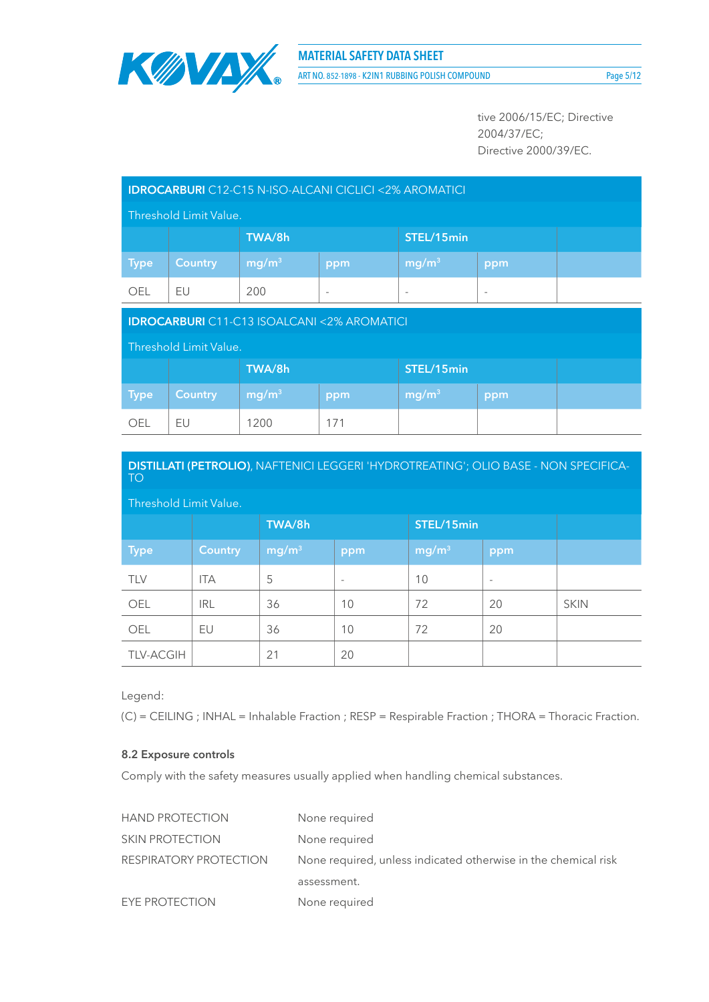

ART NO. 852-1898 - K2IN1 RUBBING POLISH COMPOUND Page 5/12

tive 2006/15/EC; Directive 2004/37/EC; Directive 2000/39/EC.

| <b>IDROCARBURI</b> C12-C15 N-ISO-ALCANI CICLICI <2% AROMATICI |                        |                   |                          |                          |                          |  |
|---------------------------------------------------------------|------------------------|-------------------|--------------------------|--------------------------|--------------------------|--|
|                                                               | Threshold Limit Value. |                   |                          |                          |                          |  |
|                                                               |                        | TWA/8h            |                          | STEL/15min               |                          |  |
| <b>Type</b>                                                   | <b>Country</b>         | mg/m <sup>3</sup> | ppm                      | mg/m <sup>3</sup>        | ppm                      |  |
| <b>OEL</b>                                                    | EU                     | 200               | $\overline{\phantom{a}}$ | $\overline{\phantom{a}}$ | $\overline{\phantom{a}}$ |  |
| <b>IDROCARBURI</b> C11-C13 ISOALCANI <2% AROMATICI            |                        |                   |                          |                          |                          |  |
|                                                               |                        |                   |                          |                          |                          |  |
|                                                               | Threshold Limit Value. |                   |                          |                          |                          |  |
|                                                               |                        | TWA/8h            |                          | STEL/15min               |                          |  |
| <b>Type</b>                                                   | <b>Country</b>         | mg/m <sup>3</sup> | ppm                      | mg/m <sup>3</sup>        | ppm                      |  |

| DISTILLATI (PETROLIO), NAFTENICI LEGGERI 'HYDROTREATING'; OLIO BASE - NON SPECIFICA-<br><b>TO</b> |                |                   |                          |                   |                          |             |
|---------------------------------------------------------------------------------------------------|----------------|-------------------|--------------------------|-------------------|--------------------------|-------------|
| Threshold Limit Value.                                                                            |                |                   |                          |                   |                          |             |
|                                                                                                   |                | TWA/8h            |                          |                   | STEL/15min               |             |
| <b>Type</b>                                                                                       | <b>Country</b> | mg/m <sup>3</sup> | ppm                      | mg/m <sup>3</sup> | ppm                      |             |
| <b>TLV</b>                                                                                        | <b>ITA</b>     | 5                 | $\overline{\phantom{a}}$ | 10                | $\overline{\phantom{a}}$ |             |
| OEL                                                                                               | <b>IRL</b>     | 36                | 10                       | 72                | 20                       | <b>SKIN</b> |
| OEL                                                                                               | EU             | 36                | 10                       | 72                | 20                       |             |
| <b>TLV-ACGIH</b>                                                                                  |                | 21                | 20                       |                   |                          |             |

Legend:

(C) = CEILING ; INHAL = Inhalable Fraction ; RESP = Respirable Fraction ; THORA = Thoracic Fraction.

### **8.2 Exposure controls**

Comply with the safety measures usually applied when handling chemical substances.

| <b>HAND PROTECTION</b> | None required                                                  |
|------------------------|----------------------------------------------------------------|
| <b>SKIN PROTECTION</b> | None required                                                  |
| RESPIRATORY PROTECTION | None required, unless indicated otherwise in the chemical risk |
|                        | assessment.                                                    |
| EYE PROTECTION         | None required                                                  |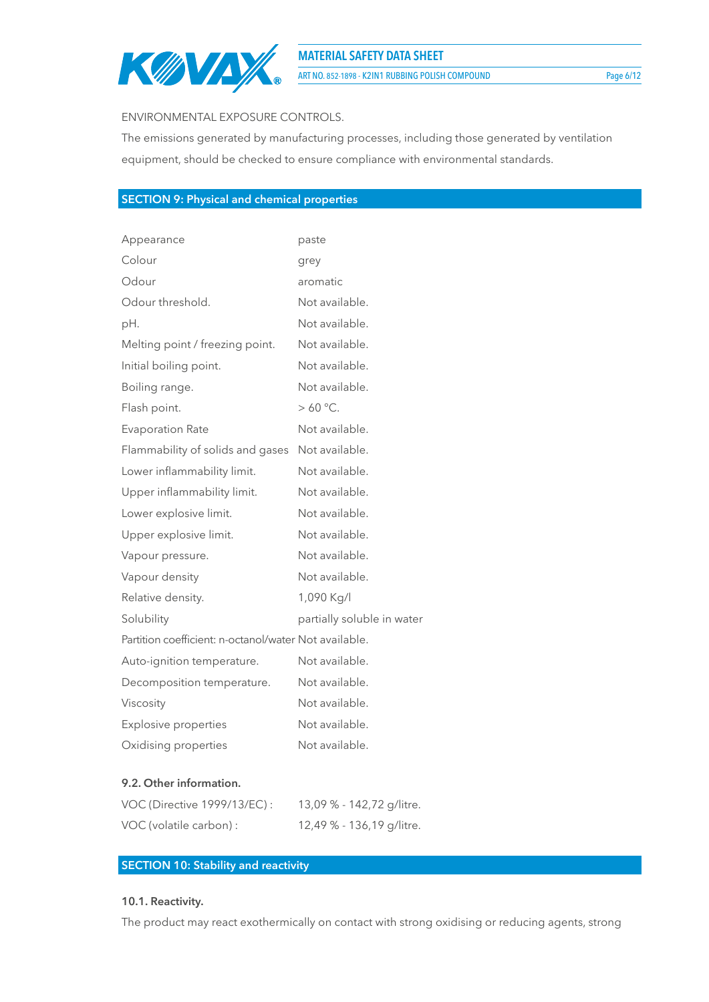

**MATERIAL SAFETY DATA SHEET**

ART NO. 852-1898 - K2IN1 RUBBING POLISH COMPOUND Page 6/12

### ENVIRONMENTAL EXPOSURE CONTROLS.

The emissions generated by manufacturing processes, including those generated by ventilation equipment, should be checked to ensure compliance with environmental standards.

### **SECTION 9: Physical and chemical properties**

| Appearance                                            | paste                      |
|-------------------------------------------------------|----------------------------|
| Colour                                                | grey                       |
| Odour                                                 | aromatic                   |
| Odour threshold.                                      | Not available.             |
| pH.                                                   | Not available.             |
| Melting point / freezing point.                       | Not available.             |
| Initial boiling point.                                | Not available.             |
| Boiling range.                                        | Not available.             |
| Flash point.                                          | $>60 °C$ .                 |
| <b>Evaporation Rate</b>                               | Not available.             |
| Flammability of solids and gases                      | Not available.             |
| Lower inflammability limit.                           | Not available.             |
| Upper inflammability limit.                           | Not available.             |
| Lower explosive limit.                                | Not available.             |
| Upper explosive limit.                                | Not available.             |
| Vapour pressure.                                      | Not available.             |
| Vapour density                                        | Not available.             |
| Relative density.                                     | 1,090 Kg/l                 |
| Solubility                                            | partially soluble in water |
| Partition coefficient: n-octanol/water Not available. |                            |
| Auto-ignition temperature.                            | Not available.             |
| Decomposition temperature.                            | Not available.             |
| Viscosity                                             | Not available.             |
| <b>Explosive properties</b>                           | Not available.             |
| Oxidising properties                                  | Not available.             |
|                                                       |                            |

### **9.2. Other information.**

| VOC (Directive 1999/13/EC): | 13,09 % - 142,72 g/litre. |
|-----------------------------|---------------------------|
| VOC (volatile carbon) :     | 12,49 % - 136,19 g/litre. |

### **SECTION 10: Stability and reactivity**

### **10.1. Reactivity.**

The product may react exothermically on contact with strong oxidising or reducing agents, strong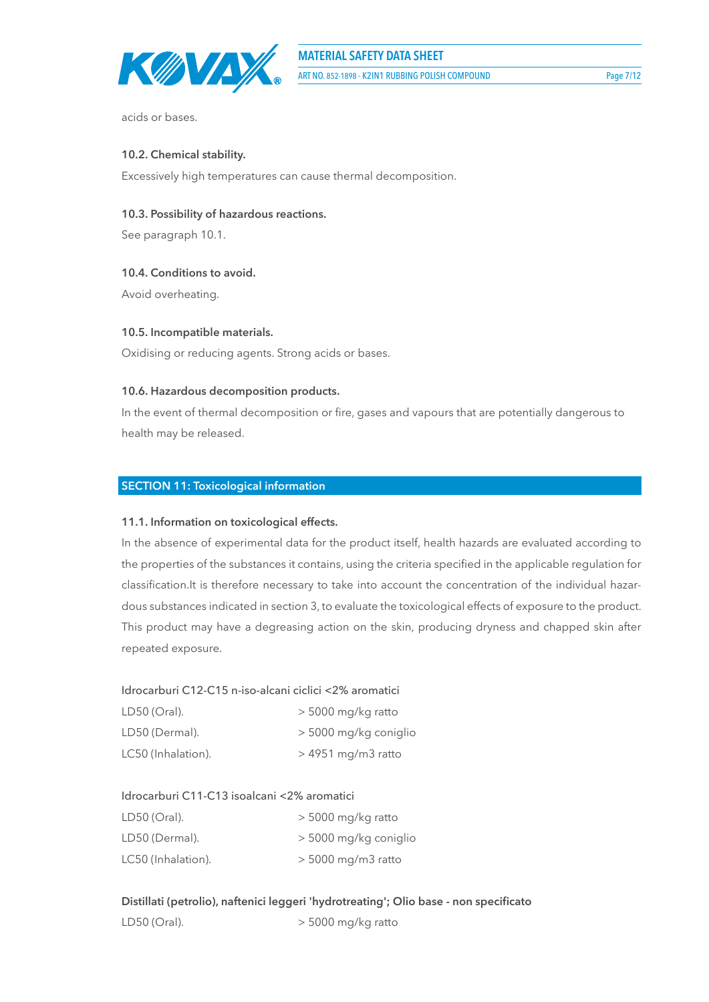

acids or bases.

### **10.2. Chemical stability.**

Excessively high temperatures can cause thermal decomposition.

### **10.3. Possibility of hazardous reactions.**

See paragraph 10.1.

### **10.4. Conditions to avoid.**

Avoid overheating.

### **10.5. Incompatible materials.**

Oxidising or reducing agents. Strong acids or bases.

### **10.6. Hazardous decomposition products.**

In the event of thermal decomposition or fire, gases and vapours that are potentially dangerous to health may be released.

### **SECTION 11: Toxicological information**

### **11.1. Information on toxicological effects.**

In the absence of experimental data for the product itself, health hazards are evaluated according to the properties of the substances it contains, using the criteria specified in the applicable regulation for classification.It is therefore necessary to take into account the concentration of the individual hazardous substances indicated in section 3, to evaluate the toxicological effects of exposure to the product. This product may have a degreasing action on the skin, producing dryness and chapped skin after repeated exposure.

### Idrocarburi C12-C15 n-iso-alcani ciclici <2% aromatici

| LD50 (Oral).       | $>$ 5000 mg/kg ratto  |
|--------------------|-----------------------|
| LD50 (Dermal).     | > 5000 mg/kg coniglio |
| LC50 (Inhalation). | $>$ 4951 mg/m3 ratto  |

### Idrocarburi C11-C13 isoalcani <2% aromatici

| LD50 (Oral).       | $>$ 5000 mg/kg ratto  |
|--------------------|-----------------------|
| LD50 (Dermal).     | > 5000 mg/kg coniglio |
| LC50 (Inhalation). | $>$ 5000 mg/m3 ratto  |

**Distillati (petrolio), naftenici leggeri 'hydrotreating'; Olio base - non specificato** LD50 (Oral).  $>$  5000 mg/kg ratto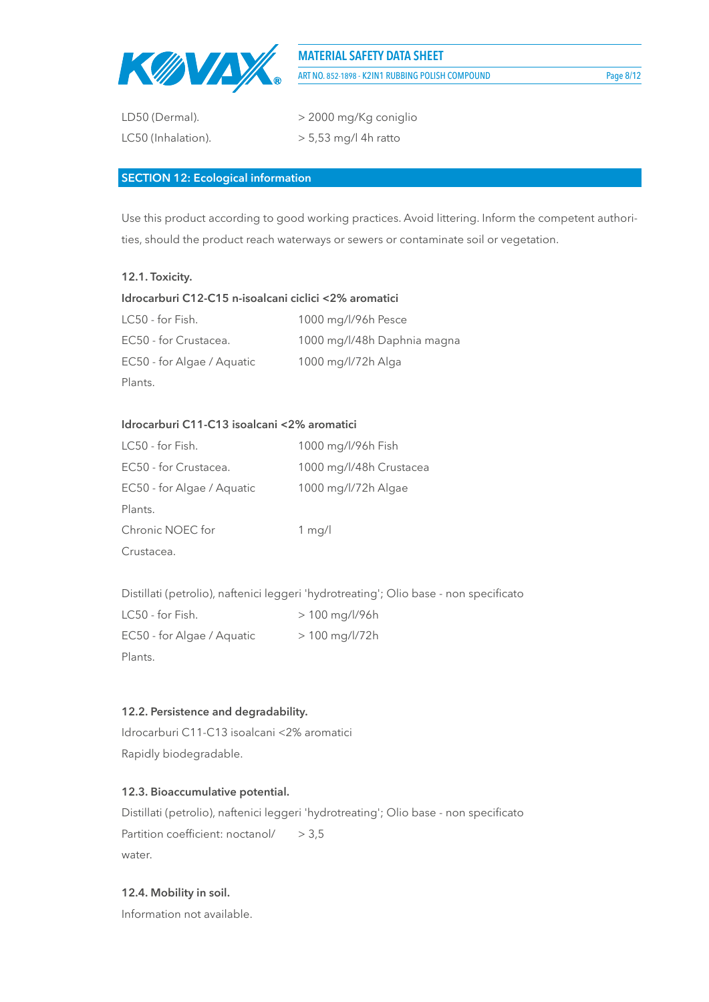

**MATERIAL SAFETY DATA SHEET** ART NO. 852-1898 - K2IN1 RUBBING POLISH COMPOUND Page 8/12

coniglio

| LD50 (Dermal).     | > 2000 mg/Kg conig     |
|--------------------|------------------------|
| LC50 (Inhalation). | $> 5,53$ mg/l 4h ratto |

### **SECTION 12: Ecological information**

Use this product according to good working practices. Avoid littering. Inform the competent authorities, should the product reach waterways or sewers or contaminate soil or vegetation.

### **12.1. Toxicity.**

| Idrocarburi C12-C15 n-isoalcani ciclici <2% aromatici |                             |  |
|-------------------------------------------------------|-----------------------------|--|
| LC50 - for Fish.                                      | 1000 mg/l/96h Pesce         |  |
| EC50 - for Crustacea.                                 | 1000 mg/l/48h Daphnia magna |  |
| EC50 - for Algae / Aquatic                            | 1000 mg/l/72h Alga          |  |
| Plants.                                               |                             |  |

### **Idrocarburi C11-C13 isoalcani <2% aromatici**

| LC50 - for Fish.           | 1000 mg/l/96h Fish      |
|----------------------------|-------------------------|
| EC50 - for Crustacea.      | 1000 mg/l/48h Crustacea |
| EC50 - for Algae / Aquatic | 1000 mg/l/72h Algae     |
| Plants.                    |                         |
| Chronic NOEC for           | 1 mg/l                  |
| Crustacea.                 |                         |

Distillati (petrolio), naftenici leggeri 'hydrotreating'; Olio base - non specificato

| LC50 - for Fish.           | $> 100$ mg/l/96h |
|----------------------------|------------------|
| EC50 - for Algae / Aquatic | $> 100$ mg/l/72h |
| Plants.                    |                  |

### **12.2. Persistence and degradability.**

Idrocarburi C11-C13 isoalcani <2% aromatici Rapidly biodegradable.

### **12.3. Bioaccumulative potential.**

Distillati (petrolio), naftenici leggeri 'hydrotreating'; Olio base - non specificato Partition coefficient: noctanol/ > 3,5 water.

### **12.4. Mobility in soil.**

Information not available.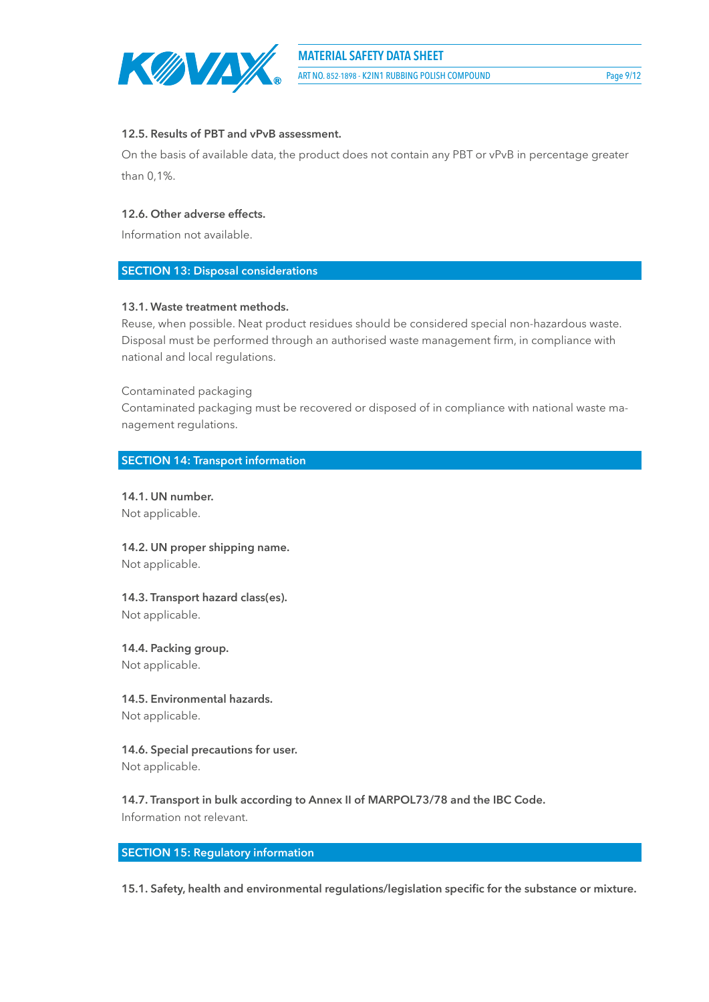

ART NO. 852-1898 - K2IN1 RUBBING POLISH COMPOUND Page 9/12

### **12.5. Results of PBT and vPvB assessment.**

On the basis of available data, the product does not contain any PBT or vPvB in percentage greater than 0,1%.

### **12.6. Other adverse effects.**

Information not available.

### **SECTION 13: Disposal considerations**

### **13.1. Waste treatment methods.**

Reuse, when possible. Neat product residues should be considered special non-hazardous waste. Disposal must be performed through an authorised waste management firm, in compliance with national and local regulations.

Contaminated packaging

Contaminated packaging must be recovered or disposed of in compliance with national waste management regulations.

### **SECTION 14: Transport information**

**14.1. UN number.** Not applicable.

**14.2. UN proper shipping name.** Not applicable.

**14.3. Transport hazard class(es).** Not applicable.

**14.4. Packing group.** Not applicable.

**14.5. Environmental hazards.** Not applicable.

**14.6. Special precautions for user.** Not applicable.

**14.7. Transport in bulk according to Annex II of MARPOL73/78 and the IBC Code.** Information not relevant.

### **SECTION 15: Regulatory information**

**15.1. Safety, health and environmental regulations/legislation specific for the substance or mixture.**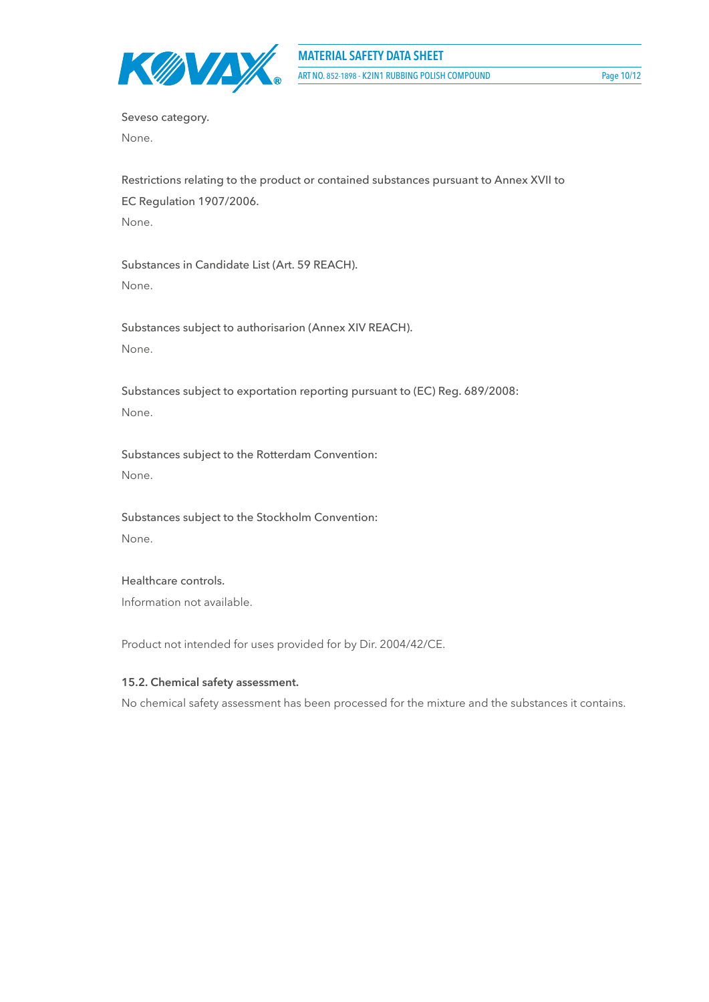

Seveso category. None.

Restrictions relating to the product or contained substances pursuant to Annex XVII to EC Regulation 1907/2006. None.

Substances in Candidate List (Art. 59 REACH). None.

Substances subject to authorisarion (Annex XIV REACH). None.

Substances subject to exportation reporting pursuant to (EC) Reg. 689/2008: None.

Substances subject to the Rotterdam Convention: None.

Substances subject to the Stockholm Convention: None.

Healthcare controls. Information not available.

Product not intended for uses provided for by Dir. 2004/42/CE.

### **15.2. Chemical safety assessment.**

No chemical safety assessment has been processed for the mixture and the substances it contains.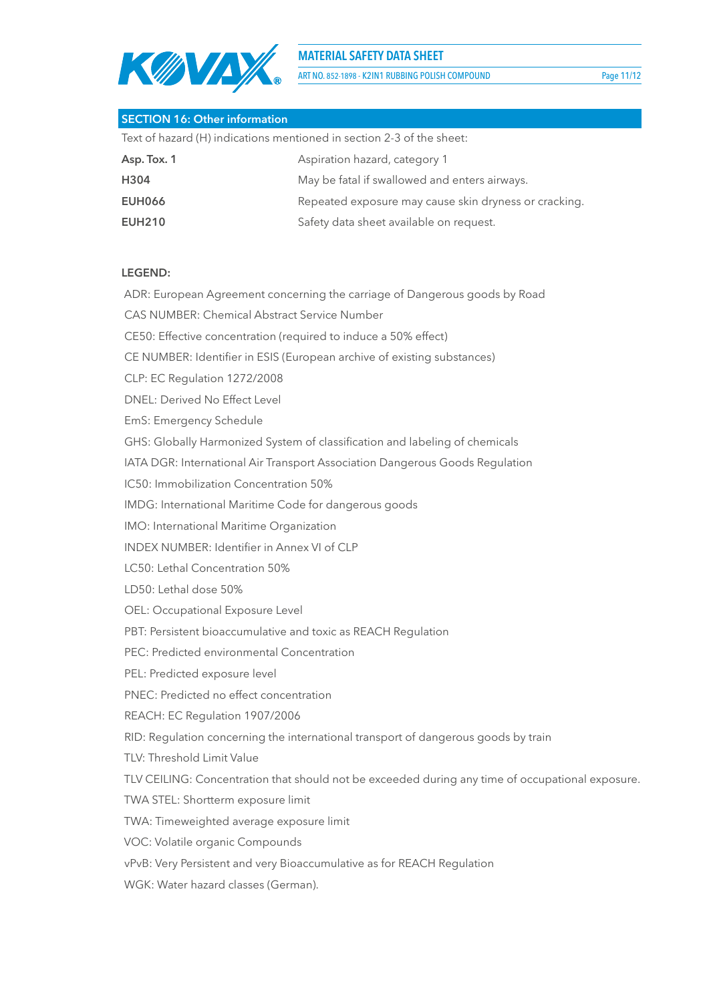

**MATERIAL SAFETY DATA SHEET**

ART NO. 852-1898 - K2IN1 RUBBING POLISH COMPOUND Page 11/12

| <b>SECTION 16: Other information</b>                                  |                                                       |  |
|-----------------------------------------------------------------------|-------------------------------------------------------|--|
| Text of hazard (H) indications mentioned in section 2-3 of the sheet: |                                                       |  |
| Asp. Tox. 1                                                           | Aspiration hazard, category 1                         |  |
| H304                                                                  | May be fatal if swallowed and enters airways.         |  |
| <b>EUH066</b>                                                         | Repeated exposure may cause skin dryness or cracking. |  |
| <b>EUH210</b>                                                         | Safety data sheet available on request.               |  |

### **LEGEND:**

ADR: European Agreement concerning the carriage of Dangerous goods by Road

CAS NUMBER: Chemical Abstract Service Number

CE50: Effective concentration (required to induce a 50% effect)

CE NUMBER: Identifier in ESIS (European archive of existing substances)

CLP: EC Regulation 1272/2008

DNEL: Derived No Effect Level

EmS: Emergency Schedule

GHS: Globally Harmonized System of classification and labeling of chemicals

IATA DGR: International Air Transport Association Dangerous Goods Regulation

IC50: Immobilization Concentration 50%

IMDG: International Maritime Code for dangerous goods

IMO: International Maritime Organization

INDEX NUMBER: Identifier in Annex VI of CLP

LC50: Lethal Concentration 50%

LD50: Lethal dose 50%

OEL: Occupational Exposure Level

PBT: Persistent bioaccumulative and toxic as REACH Regulation

PEC: Predicted environmental Concentration

PEL: Predicted exposure level

PNEC: Predicted no effect concentration

REACH: EC Regulation 1907/2006

RID: Regulation concerning the international transport of dangerous goods by train

TLV: Threshold Limit Value

TLV CEILING: Concentration that should not be exceeded during any time of occupational exposure.

TWA STEL: Shortterm exposure limit

TWA: Timeweighted average exposure limit

VOC: Volatile organic Compounds

vPvB: Very Persistent and very Bioaccumulative as for REACH Regulation

WGK: Water hazard classes (German).